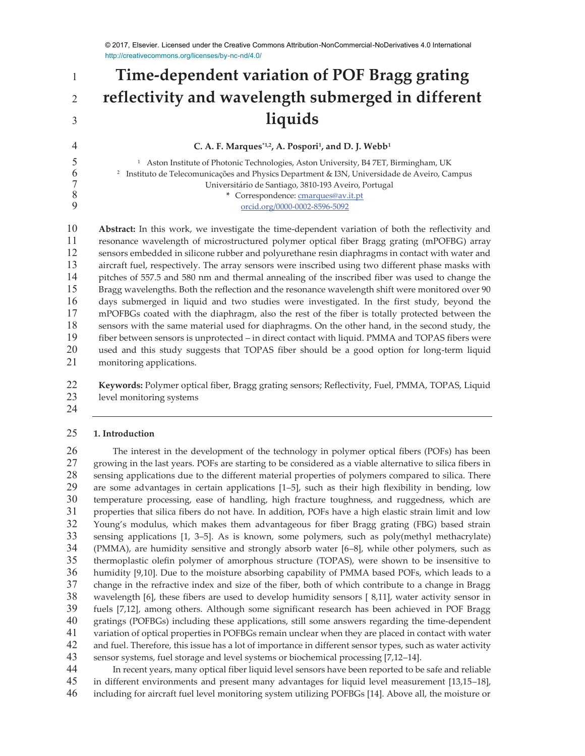# **Time-dependent variation of POF Bragg grating reflectivity and wavelength submerged in different liquids**

#### **C. A. F. Marques**<sup>\*1,2</sup>, **A. Pospori<sup>1</sup>, and D. J. Webb<sup>1</sup>**

<sup>1</sup> Aston Institute of Photonic Technologies, Aston University, B4 7ET, Birmingham, UK<br><sup>2</sup> Instituto de Telecomunicações and Physics Department & I3N, Universidade de Aveiro, Ca <sup>2</sup> Instituto de Telecomunicações and Physics Department & I3N, Universidade de Aveiro, Campus Universitário de Santiago, 3810-193 Aveiro, Portugal 8 **\*** Correspondence: <u>cmarques@av.it.pt</u><br>9 orcid.org/0000-0002-8596-5092 orcid.org/0000-0002-8596-5092

**Abstract:** In this work, we investigate the time-dependent variation of both the reflectivity and resonance wavelength of microstructured polymer optical fiber Bragg grating (mPOFBG) array sensors embedded in silicone rubber and polyurethane resin diaphragms in contact with water and aircraft fuel, respectively. The array sensors were inscribed using two different phase masks with pitches of 557.5 and 580 nm and thermal annealing of the inscribed fiber was used to change the Bragg wavelengths. Both the reflection and the resonance wavelength shift were monitored over 90 days submerged in liquid and two studies were investigated. In the first study, beyond the mPOFBGs coated with the diaphragm, also the rest of the fiber is totally protected between the sensors with the same material used for diaphragms. On the other hand, in the second study, the fiber between sensors is unprotected – in direct contact with liquid. PMMA and TOPAS fibers were used and this study suggests that TOPAS fiber should be a good option for long-term liquid monitoring applications.

**Keywords:** Polymer optical fiber, Bragg grating sensors; Reflectivity, Fuel, PMMA, TOPAS, Liquid level monitoring systems

# **1. Introduction**

The interest in the development of the technology in polymer optical fibers (POFs) has been growing in the last years. POFs are starting to be considered as a viable alternative to silica fibers in sensing applications due to the different material properties of polymers compared to silica. There are some advantages in certain applications [1–5], such as their high flexibility in bending, low temperature processing, ease of handling, high fracture toughness, and ruggedness, which are properties that silica fibers do not have. In addition, POFs have a high elastic strain limit and low Young's modulus, which makes them advantageous for fiber Bragg grating (FBG) based strain sensing applications [1, 3–5]. As is known, some polymers, such as poly(methyl methacrylate) (PMMA), are humidity sensitive and strongly absorb water [6–8], while other polymers, such as thermoplastic olefin polymer of amorphous structure (TOPAS), were shown to be insensitive to humidity [9,10]. Due to the moisture absorbing capability of PMMA based POFs, which leads to a change in the refractive index and size of the fiber, both of which contribute to a change in Bragg wavelength [6], these fibers are used to develop humidity sensors [ 8,11], water activity sensor in fuels [7,12], among others. Although some significant research has been achieved in POF Bragg gratings (POFBGs) including these applications, still some answers regarding the time-dependent variation of optical properties in POFBGs remain unclear when they are placed in contact with water and fuel. Therefore, this issue has a lot of importance in different sensor types, such as water activity sensor systems, fuel storage and level systems or biochemical processing [7,12–14].

In recent years, many optical fiber liquid level sensors have been reported to be safe and reliable in different environments and present many advantages for liquid level measurement [13,15–18], including for aircraft fuel level monitoring system utilizing POFBGs [14]. Above all, the moisture or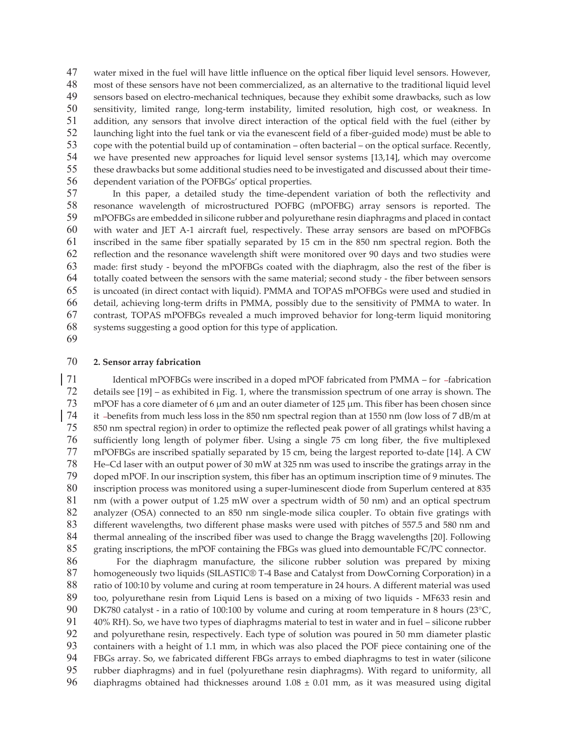water mixed in the fuel will have little influence on the optical fiber liquid level sensors. However, most of these sensors have not been commercialized, as an alternative to the traditional liquid level sensors based on electro-mechanical techniques, because they exhibit some drawbacks, such as low sensitivity, limited range, long-term instability, limited resolution, high cost, or weakness. In addition, any sensors that involve direct interaction of the optical field with the fuel (either by launching light into the fuel tank or via the evanescent field of a fiber-guided mode) must be able to cope with the potential build up of contamination – often bacterial – on the optical surface. Recently, we have presented new approaches for liquid level sensor systems [13,14], which may overcome these drawbacks but some additional studies need to be investigated and discussed about their time-dependent variation of the POFBGs' optical properties.

In this paper, a detailed study the time-dependent variation of both the reflectivity and 58 resonance wavelength of microstructured POFBG (mPOFBG) array sensors is reported. The mPOFBGs are embedded in silicone rubber and polyurethane resin diaphragms and placed in contact mPOFBGs are embedded in silicone rubber and polyurethane resin diaphragms and placed in contact with water and JET A-1 aircraft fuel, respectively. These array sensors are based on mPOFBGs inscribed in the same fiber spatially separated by 15 cm in the 850 nm spectral region. Both the reflection and the resonance wavelength shift were monitored over 90 days and two studies were made: first study - beyond the mPOFBGs coated with the diaphragm, also the rest of the fiber is totally coated between the sensors with the same material; second study - the fiber between sensors is uncoated (in direct contact with liquid). PMMA and TOPAS mPOFBGs were used and studied in detail, achieving long-term drifts in PMMA, possibly due to the sensitivity of PMMA to water. In contrast, TOPAS mPOFBGs revealed a much improved behavior for long-term liquid monitoring systems suggesting a good option for this type of application.

#### **2. Sensor array fabrication**

71 Identical mPOFBGs were inscribed in a doped mPOF fabricated from PMMA – for -fabrication details see [19] – as exhibited in Fig. 1, where the transmission spectrum of one array is shown. The mPOF has a core diameter of 6 μm and an outer diameter of 125 μm. This fiber has been chosen since it benefits from much less loss in the 850 nm spectral region than at 1550 nm (low loss of 7 dB/m at 850 nm spectral region) in order to optimize the reflected peak power of all gratings whilst having a sufficiently long length of polymer fiber. Using a single 75 cm long fiber, the five multiplexed mPOFBGs are inscribed spatially separated by 15 cm, being the largest reported to-date [14]. A CW He–Cd laser with an output power of 30 mW at 325 nm was used to inscribe the gratings array in the doped mPOF. In our inscription system, this fiber has an optimum inscription time of 9 minutes. The inscription process was monitored using a super-luminescent diode from Superlum centered at 835 nm (with a power output of 1.25 mW over a spectrum width of 50 nm) and an optical spectrum analyzer (OSA) connected to an 850 nm single-mode silica coupler. To obtain five gratings with different wavelengths, two different phase masks were used with pitches of 557.5 and 580 nm and thermal annealing of the inscribed fiber was used to change the Bragg wavelengths [20]. Following grating inscriptions, the mPOF containing the FBGs was glued into demountable FC/PC connector.

For the diaphragm manufacture, the silicone rubber solution was prepared by mixing homogeneously two liquids (SILASTIC® T-4 Base and Catalyst from DowCorning Corporation) in a ratio of 100:10 by volume and curing at room temperature in 24 hours. A different material was used too, polyurethane resin from Liquid Lens is based on a mixing of two liquids - MF633 resin and 90 DK780 catalyst - in a ratio of 100:100 by volume and curing at room temperature in 8 hours (23°C, 40% RH). So, we have two types of diaphragms material to test in water and in fuel – silicone rubber and polyurethane resin, respectively. Each type of solution was poured in 50 mm diameter plastic containers with a height of 1.1 mm, in which was also placed the POF piece containing one of the FBGs array. So, we fabricated different FBGs arrays to embed diaphragms to test in water (silicone rubber diaphragms) and in fuel (polyurethane resin diaphragms). With regard to uniformity, all diaphragms obtained had thicknesses around 1.08 ± 0.01 mm, as it was measured using digital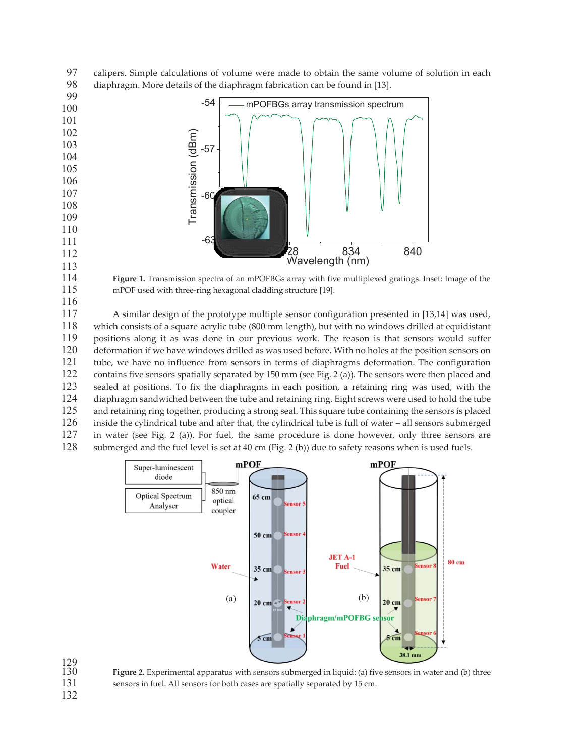calipers. Simple calculations of volume were made to obtain the same volume of solution in each diaphragm. More details of the diaphragm fabrication can be found in [13].



129<br>130

**Figure 1.** Transmission spectra of an mPOFBGs array with five multiplexed gratings. Inset: Image of the mPOF used with three-ring hexagonal cladding structure [19].

A similar design of the prototype multiple sensor configuration presented in [13,14] was used, which consists of a square acrylic tube (800 mm length), but with no windows drilled at equidistant positions along it as was done in our previous work. The reason is that sensors would suffer deformation if we have windows drilled as was used before. With no holes at the position sensors on tube, we have no influence from sensors in terms of diaphragms deformation. The configuration contains five sensors spatially separated by 150 mm (see Fig. 2 (a)). The sensors were then placed and sealed at positions. To fix the diaphragms in each position, a retaining ring was used, with the diaphragm sandwiched between the tube and retaining ring. Eight screws were used to hold the tube 125 and retaining ring together, producing a strong seal. This square tube containing the sensors is placed<br>126 inside the cylindrical tube and after that, the cylindrical tube is full of water – all sensors submerged inside the cylindrical tube and after that, the cylindrical tube is full of water – all sensors submerged in water (see Fig. 2 (a)). For fuel, the same procedure is done however, only three sensors are submerged and the fuel level is set at 40 cm (Fig. 2 (b)) due to safety reasons when is used fuels.



Figure 2. Experimental apparatus with sensors submerged in liquid: (a) five sensors in water and (b) three sensors in fuel. All sensors for both cases are spatially separated by 15 cm.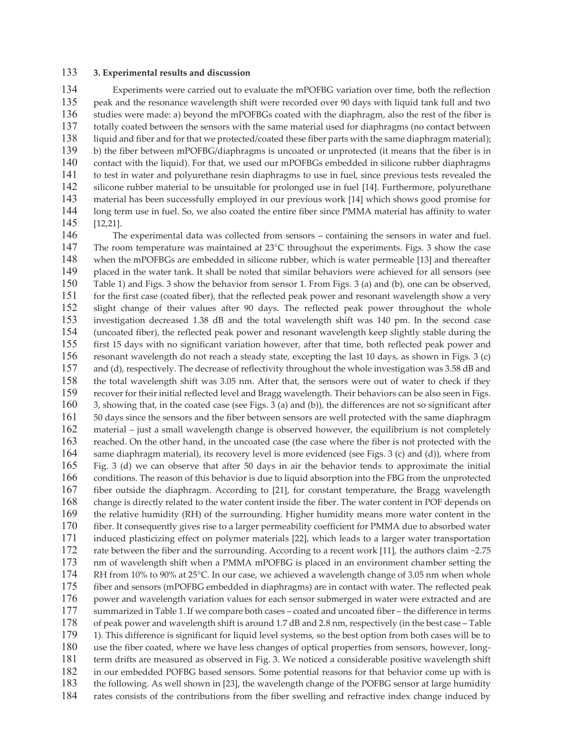#### **3. Experimental results and discussion**

Experiments were carried out to evaluate the mPOFBG variation over time, both the reflection peak and the resonance wavelength shift were recorded over 90 days with liquid tank full and two studies were made: a) beyond the mPOFBGs coated with the diaphragm, also the rest of the fiber is totally coated between the sensors with the same material used for diaphragms (no contact between liquid and fiber and for that we protected/coated these fiber parts with the same diaphragm material); b) the fiber between mPOFBG/diaphragms is uncoated or unprotected (it means that the fiber is in contact with the liquid). For that, we used our mPOFBGs embedded in silicone rubber diaphragms to test in water and polyurethane resin diaphragms to use in fuel, since previous tests revealed the silicone rubber material to be unsuitable for prolonged use in fuel [14]. Furthermore, polyurethane material has been successfully employed in our previous work [14] which shows good promise for long term use in fuel. So, we also coated the entire fiber since PMMA material has affinity to water [12,21].

The experimental data was collected from sensors – containing the sensors in water and fuel. 147 The room temperature was maintained at  $23^{\circ}$ C throughout the experiments. Figs. 3 show the case when the mPOFBGs are embedded in silicone rubber, which is water permeable [13] and thereafter placed in the water tank. It shall be noted that similar behaviors were achieved for all sensors (see Table 1) and Figs. 3 show the behavior from sensor 1. From Figs. 3 (a) and (b), one can be observed, for the first case (coated fiber), that the reflected peak power and resonant wavelength show a very slight change of their values after 90 days. The reflected peak power throughout the whole investigation decreased 1.38 dB and the total wavelength shift was 140 pm. In the second case (uncoated fiber), the reflected peak power and resonant wavelength keep slightly stable during the first 15 days with no significant variation however, after that time, both reflected peak power and resonant wavelength do not reach a steady state, excepting the last 10 days, as shown in Figs. 3 (c) and (d), respectively. The decrease of reflectivity throughout the whole investigation was 3.58 dB and the total wavelength shift was 3.05 nm. After that, the sensors were out of water to check if they recover for their initial reflected level and Bragg wavelength. Their behaviors can be also seen in Figs. 3, showing that, in the coated case (see Figs. 3 (a) and (b)), the differences are not so significant after 50 days since the sensors and the fiber between sensors are well protected with the same diaphragm material – just a small wavelength change is observed however, the equilibrium is not completely reached. On the other hand, in the uncoated case (the case where the fiber is not protected with the same diaphragm material), its recovery level is more evidenced (see Figs. 3 (c) and (d)), where from Fig. 3 (d) we can observe that after 50 days in air the behavior tends to approximate the initial conditions. The reason of this behavior is due to liquid absorption into the FBG from the unprotected fiber outside the diaphragm. According to [21], for constant temperature, the Bragg wavelength change is directly related to the water content inside the fiber. The water content in POF depends on the relative humidity (RH) of the surrounding. Higher humidity means more water content in the fiber. It consequently gives rise to a larger permeability coefficient for PMMA due to absorbed water induced plasticizing effect on polymer materials [22], which leads to a larger water transportation 172 rate between the fiber and the surrounding. According to a recent work [11], the authors claim ~2.75 nm of wavelength shift when a PMMA mPOFBG is placed in an environment chamber setting the 174 RH from 10% to 90% at 25°C. In our case, we achieved a wavelength change of 3.05 nm when whole fiber and sensors (mPOFBG embedded in diaphragms) are in contact with water. The reflected peak 176 power and wavelength variation values for each sensor submerged in water were extracted and are summarized in Table 1. If we compare both cases – coated and uncoated fiber – the difference in terms of peak power and wavelength shift is around 1.7 dB and 2.8 nm, respectively (in the best case – Table 1). This difference is significant for liquid level systems, so the best option from both cases will be to use the fiber coated, where we have less changes of optical properties from sensors, however, long-term drifts are measured as observed in Fig. 3. We noticed a considerable positive wavelength shift in our embedded POFBG based sensors. Some potential reasons for that behavior come up with is the following. As well shown in [23], the wavelength change of the POFBG sensor at large humidity rates consists of the contributions from the fiber swelling and refractive index change induced by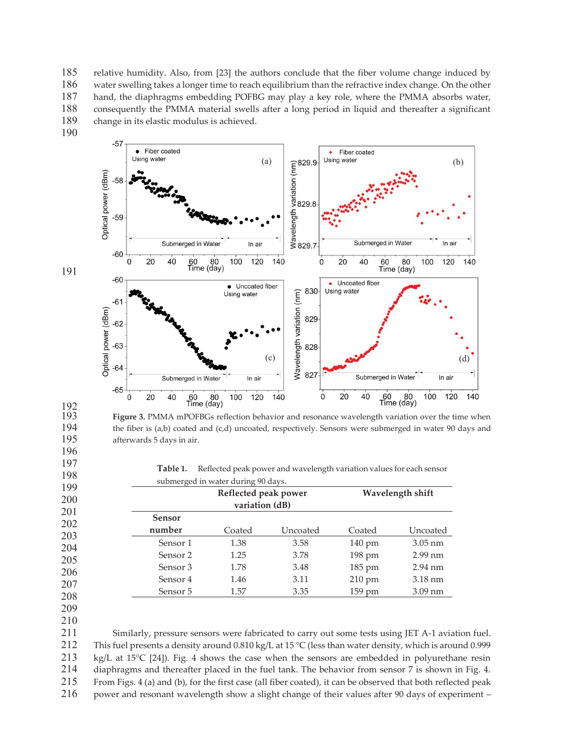relative humidity. Also, from [23] the authors conclude that the fiber volume change induced by water swelling takes a longer time to reach equilibrium than the refractive index change. On the other hand, the diaphragms embedding POFBG may play a key role, where the PMMA absorbs water, consequently the PMMA material swells after a long period in liquid and thereafter a significant change in its elastic modulus is achieved.

190



193 **Figure 3.** PMMA mPOFBGs reflection behavior and resonance wavelength variation over the time when the fiber is (a,b) coated and (c,d) uncoated, respectively. Sensors were submerged in water 90 days and 195 afterwards 5 days in air.

**Table 1.** Reflected peak power and wavelength variation values for each sensor submerged in water during 90 days.

|                     | Reflected peak power<br>variation (dB) |          | Wavelength shift |                   |
|---------------------|----------------------------------------|----------|------------------|-------------------|
| <b>Sensor</b>       |                                        |          |                  |                   |
| number              | Coated                                 | Uncoated | Coated           | Uncoated          |
| Sensor 1            | 1.38                                   | 3.58     | $140 \text{ pm}$ | $3.05 \text{ nm}$ |
| Sensor <sub>2</sub> | 1.25                                   | 3.78     | $198 \text{ pm}$ | $2.99$ nm         |
| Sensor 3            | 1.78                                   | 3.48     | $185 \text{ pm}$ | $2.94$ nm         |
| Sensor 4            | 1.46                                   | 3.11     | 210 pm           | $3.18 \text{ nm}$ |
| Sensor 5            | 1.57                                   | 3.35     | 159 pm           | $3.09$ nm         |

208 209

210

Similarly, pressure sensors were fabricated to carry out some tests using JET A-1 aviation fuel. 212 This fuel presents a density around 0.810 kg/L at 15 °C (less than water density, which is around 0.999 kg/L at 15°C [24]). Fig. 4 shows the case when the sensors are embedded in polyurethane resin diaphragms and thereafter placed in the fuel tank. The behavior from sensor 7 is shown in Fig. 4. From Figs. 4 (a) and (b), for the first case (all fiber coated), it can be observed that both reflected peak power and resonant wavelength show a slight change of their values after 90 days of experiment –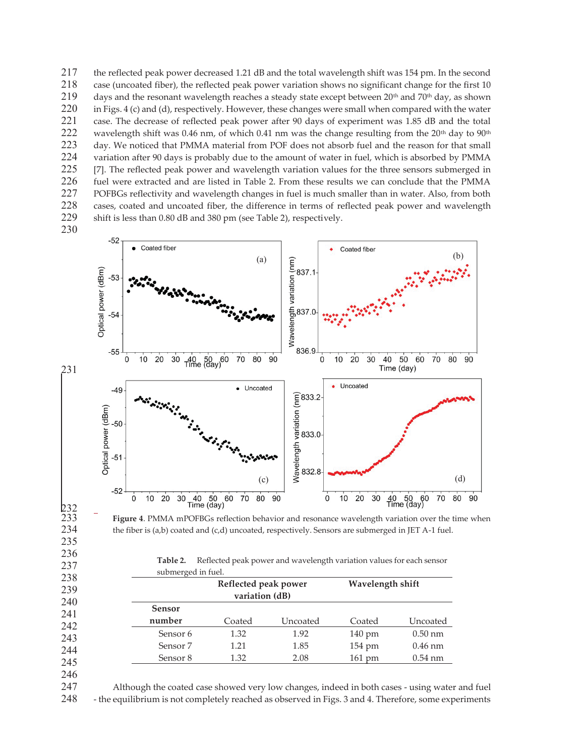the reflected peak power decreased 1.21 dB and the total wavelength shift was 154 pm. In the second case (uncoated fiber), the reflected peak power variation shows no significant change for the first 10 219 days and the resonant wavelength reaches a steady state except between 20<sup>th</sup> and 70<sup>th</sup> day, as shown in Figs. 4 (c) and (d), respectively. However, these changes were small when compared with the water 221 case. The decrease of reflected peak power after 90 days of experiment was 1.85 dB and the total<br>222 wavelength shift was 0.46 nm, of which 0.41 nm was the change resulting from the 20<sup>th</sup> day to 90<sup>th</sup> wavelength shift was 0.46 nm, of which 0.41 nm was the change resulting from the  $20<sup>th</sup>$  day to  $90<sup>th</sup>$ day. We noticed that PMMA material from POF does not absorb fuel and the reason for that small variation after 90 days is probably due to the amount of water in fuel, which is absorbed by PMMA 225 [7]. The reflected peak power and wavelength variation values for the three sensors submerged in fuel were extracted and are listed in Table 2. From these results we can conclude that the PMMA POFBGs reflectivity and wavelength changes in fuel is much smaller than in water. Also, from both cases, coated and uncoated fiber, the difference in terms of reflected peak power and wavelength shift is less than 0.80 dB and 380 pm (see Table 2), respectively.

230





**Table 2.** Reflected peak power and wavelength variation values for each sensor submerged in fuel

|               | Reflected peak power<br>variation (dB) |          | Wavelength shift |           |
|---------------|----------------------------------------|----------|------------------|-----------|
| <b>Sensor</b> |                                        |          |                  |           |
| number        | Coated                                 | Uncoated | Coated           | Uncoated  |
| Sensor 6      | 1.32                                   | 1.92     | $140 \text{ pm}$ | $0.50$ nm |
| Sensor 7      | 1.21                                   | 1.85     | $154 \text{ pm}$ | $0.46$ nm |
| Sensor 8      | 1.32                                   | 2.08     | $161 \text{ pm}$ | $0.54$ nm |

245 246

247 Although the coated case showed very low changes, indeed in both cases - using water and fuel 248 - the equilibrium is not completely reached as observed in Figs. 3 and 4. Therefore, some experiments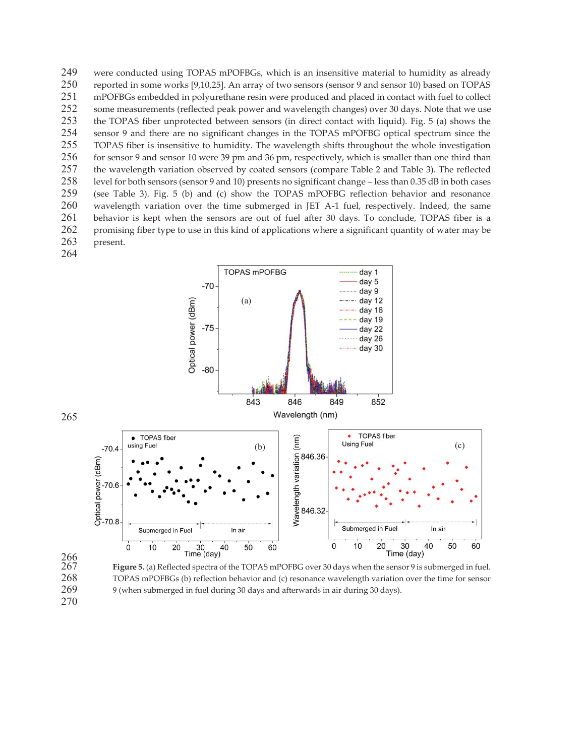were conducted using TOPAS mPOFBGs, which is an insensitive material to humidity as already reported in some works [9,10,25]. An array of two sensors (sensor 9 and sensor 10) based on TOPAS mPOFBGs embedded in polyurethane resin were produced and placed in contact with fuel to collect 252 some measurements (reflected peak power and wavelength changes) over 30 days. Note that we use<br>253 the TOPAS fiber unprotected between sensors (in direct contact with liquid). Fig. 5 (a) shows the 253 the TOPAS fiber unprotected between sensors (in direct contact with liquid). Fig. 5 (a) shows the 254 sensor 9 and there are no significant changes in the TOPAS mPOFBG optical spectrum since the sensor 9 and there are no significant changes in the TOPAS mPOFBG optical spectrum since the TOPAS fiber is insensitive to humidity. The wavelength shifts throughout the whole investigation for sensor 9 and sensor 10 were 39 pm and 36 pm, respectively, which is smaller than one third than the wavelength variation observed by coated sensors (compare Table 2 and Table 3). The reflected level for both sensors (sensor 9 and 10) presents no significant change – less than 0.35 dB in both cases (see Table 3). Fig. 5 (b) and (c) show the TOPAS mPOFBG reflection behavior and resonance wavelength variation over the time submerged in JET A-1 fuel, respectively. Indeed, the same behavior is kept when the sensors are out of fuel after 30 days. To conclude, TOPAS fiber is a promising fiber type to use in this kind of applications where a significant quantity of water may be present. 



Figure 5. (a) Reflected spectra of the TOPAS mPOFBG over 30 days when the sensor 9 is submerged in fuel. TOPAS mPOFBGs (b) reflection behavior and (c) resonance wavelength variation over the time for sensor 9 (when submerged in fuel during 30 days and afterwards in air during 30 days).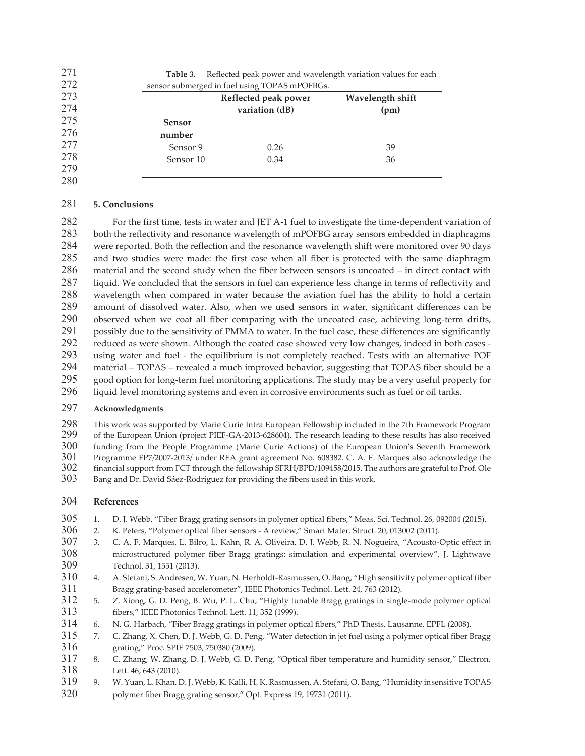| 271 | Table 3.      | Reflected peak power and wavelength variation values for each |                  |  |  |  |  |  |
|-----|---------------|---------------------------------------------------------------|------------------|--|--|--|--|--|
| 272 |               | sensor submerged in fuel using TOPAS mPOFBGs.                 |                  |  |  |  |  |  |
| 273 |               | Reflected peak power                                          | Wavelength shift |  |  |  |  |  |
| 274 |               | variation (dB)                                                | (pm)             |  |  |  |  |  |
| 275 | <b>Sensor</b> |                                                               |                  |  |  |  |  |  |
| 276 | number        |                                                               |                  |  |  |  |  |  |
| 277 | Sensor 9      | 0.26                                                          | 39               |  |  |  |  |  |
| 278 | Sensor 10     | 0.34                                                          | 36               |  |  |  |  |  |
| 279 |               |                                                               |                  |  |  |  |  |  |
| 280 |               |                                                               |                  |  |  |  |  |  |

#### **5. Conclusions**

For the first time, tests in water and JET A-1 fuel to investigate the time-dependent variation of both the reflectivity and resonance wavelength of mPOFBG array sensors embedded in diaphragms were reported. Both the reflection and the resonance wavelength shift were monitored over 90 days and two studies were made: the first case when all fiber is protected with the same diaphragm material and the second study when the fiber between sensors is uncoated – in direct contact with liquid. We concluded that the sensors in fuel can experience less change in terms of reflectivity and wavelength when compared in water because the aviation fuel has the ability to hold a certain amount of dissolved water. Also, when we used sensors in water, significant differences can be observed when we coat all fiber comparing with the uncoated case, achieving long-term drifts, possibly due to the sensitivity of PMMA to water. In the fuel case, these differences are significantly reduced as were shown. Although the coated case showed very low changes, indeed in both cases - using water and fuel - the equilibrium is not completely reached. Tests with an alternative POF material – TOPAS – revealed a much improved behavior, suggesting that TOPAS fiber should be a good option for long-term fuel monitoring applications. The study may be a very useful property for liquid level monitoring systems and even in corrosive environments such as fuel or oil tanks.

## **Acknowledgments**

298 This work was supported by Marie Curie Intra European Fellowship included in the 7th Framework Program<br>299 of the European Union (project PIEF-GA-2013-628604). The research leading to these results has also received of the European Union (project PIEF-GA-2013-628604). The research leading to these results has also received funding from the People Programme (Marie Curie Actions) of the European Union's Seventh Framework 301 Programme FP7/2007-2013/ under REA grant agreement No. 608382. C. A. F. Marques also acknowledge the 302 financial support from FCT through the fellowship SFRH/BPD/109458/2015. The authors are grateful to Prof. Ole 302 financial support from FCT through the fellowship SFRH/BPD/109458/2015. The authors are grateful to Prof. Ole<br>303 Bang and Dr. David Sáez-Rodríguez for providing the fibers used in this work.

Bang and Dr. David Sáez-Rodríguez for providing the fibers used in this work.

## **References**

- 305 1. D. J. Webb, "Fiber Bragg grating sensors in polymer optical fibers," Meas. Sci. Technol. 26, 092004 (2015).<br>306 2. K. Peters. "Polymer optical fiber sensors A review." Smart Mater. Struct. 20. 013002 (2011).
- 2. K. Peters, "Polymer optical fiber sensors A review," Smart Mater. Struct. 20, 013002 (2011).
- 3. C. A. F. Marques, L. Bilro, L. Kahn, R. A. Oliveira, D. J. Webb, R. N. Nogueira, "Acousto-Optic effect in microstructured polymer fiber Bragg gratings: simulation and experimental overview", J. Lightwave Technol. 31, 1551 (2013).
- 4. A. Stefani, S. Andresen, W. Yuan, N. Herholdt-Rasmussen, O. Bang, "High sensitivity polymer optical fiber Bragg grating-based accelerometer", IEEE Photonics Technol. Lett. 24, 763 (2012).
- 5. Z. Xiong, G. D. Peng, B. Wu, P. L. Chu, "Highly tunable Bragg gratings in single-mode polymer optical fibers," IEEE Photonics Technol. Lett. 11, 352 (1999).
- 6. N. G. Harbach, "Fiber Bragg gratings in polymer optical fibers," PhD Thesis, Lausanne, EPFL (2008).
- 7. C. Zhang, X. Chen, D. J. Webb, G. D. Peng, "Water detection in jet fuel using a polymer optical fiber Bragg grating," Proc. SPIE 7503, 750380 (2009).
- 8. C. Zhang, W. Zhang, D. J. Webb, G. D. Peng, "Optical fiber temperature and humidity sensor," Electron. Lett. 46, 643 (2010).
- 9. W. Yuan, L. Khan, D. J. Webb, K. Kalli, H. K. Rasmussen, A. Stefani, O. Bang, "Humidity insensitive TOPAS polymer fiber Bragg grating sensor," Opt. Express 19, 19731 (2011).